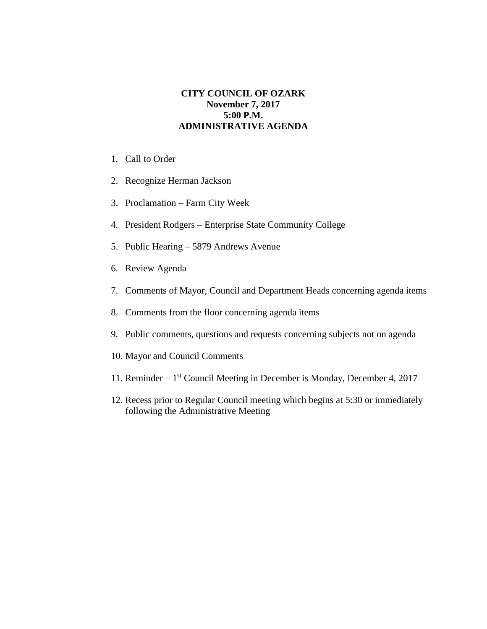## **CITY COUNCIL OF OZARK November 7, 2017 5:00 P.M. ADMINISTRATIVE AGENDA**

- 1. Call to Order
- 2. Recognize Herman Jackson
- 3. Proclamation Farm City Week
- 4. President Rodgers Enterprise State Community College
- 5. Public Hearing 5879 Andrews Avenue
- 6. Review Agenda
- 7. Comments of Mayor, Council and Department Heads concerning agenda items
- 8. Comments from the floor concerning agenda items
- 9. Public comments, questions and requests concerning subjects not on agenda
- 10. Mayor and Council Comments
- 11. Reminder 1<sup>st</sup> Council Meeting in December is Monday, December 4, 2017
- 12. Recess prior to Regular Council meeting which begins at 5:30 or immediately following the Administrative Meeting